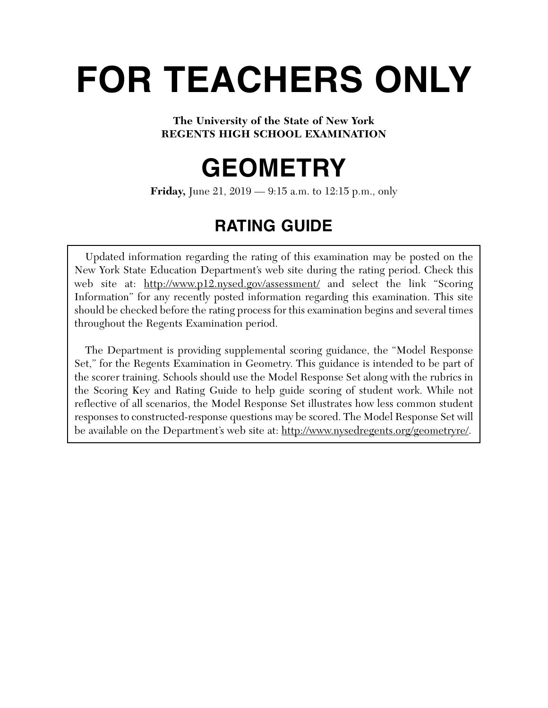# **FOR TEACHERS ONLY**

# **The University of the State of New York REGENTS HIGH SCHOOL EXAMINATION**

# **GEOMETRY**

**Friday,** June 21, 2019 — 9:15 a.m. to 12:15 p.m., only

# **RATING GUIDE**

Updated information regarding the rating of this examination may be posted on the New York State Education Department's web site during the rating period. Check this web site at: http://www.p12.nysed.gov/assessment/ and select the link "Scoring" Information" for any recently posted information regarding this examination. This site should be checked before the rating process for this examination begins and several times throughout the Regents Examination period.

The Department is providing supplemental scoring guidance, the "Model Response Set," for the Regents Examination in Geometry. This guidance is intended to be part of the scorer training. Schools should use the Model Response Set along with the rubrics in the Scoring Key and Rating Guide to help guide scoring of student work. While not reflective of all scenarios, the Model Response Set illustrates how less common student responses to constructed-response questions may be scored. The Model Response Set will be available on the Department's web site at: http://www.nysedregents.org/geometryre/.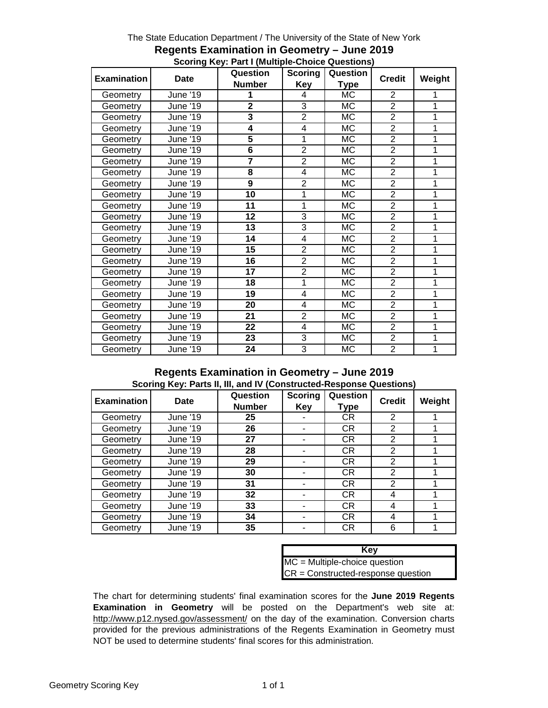| <b>Examination</b> | <b>Date</b>     | Question        | <b>Scoring</b> | Question               | <b>Credit</b>  | Weight |
|--------------------|-----------------|-----------------|----------------|------------------------|----------------|--------|
|                    |                 | <b>Number</b>   | Key            | <b>Type</b>            |                |        |
| Geometry           | June '19        | 1               | 4              | <b>MC</b>              | $\overline{2}$ | 1      |
| Geometry           | June '19        | $\mathbf{2}$    | 3              | МC                     | $\overline{2}$ | 1      |
| Geometry           | June '19        | 3               | $\overline{2}$ | МC                     | $\overline{2}$ | 1      |
| Geometry           | June '19        | 4               | 4              | МC                     | $\overline{2}$ | 1      |
| Geometry           | June '19        | 5               | 1              | МC                     | $\overline{2}$ | 1      |
| Geometry           | June '19        | 6               | $\overline{2}$ | <b>MC</b>              | $\overline{2}$ | 1      |
| Geometry           | June '19        | $\overline{7}$  | $\overline{2}$ | МC                     | $\overline{2}$ | 1      |
| Geometry           | June '19        | 8               | 4              | <b>MC</b>              | $\overline{2}$ | 1      |
| Geometry           | June '19        | 9               | $\overline{2}$ | МC                     | $\overline{2}$ | 1      |
| Geometry           | June '19        | 10              | 1              | МC                     | $\overline{2}$ | 1      |
| Geometry           | June '19        | 11              | 1              | МC                     | $\overline{2}$ | 1      |
| Geometry           | June '19        | 12              | 3              | МC                     | $\overline{2}$ | 1      |
| Geometry           | June '19        | 13              | 3              | <b>MC</b>              | $\overline{2}$ | 1      |
| Geometry           | June '19        | 14              | 4              | <b>MC</b>              | $\overline{2}$ | 1      |
| Geometry           | June '19        | 15              | $\overline{2}$ | <b>MC</b>              | $\overline{2}$ | 1      |
| Geometry           | June '19        | 16              | $\overline{2}$ | МC                     | $\overline{2}$ | 1      |
| Geometry           | June '19        | 17              | $\overline{2}$ | МC                     | $\overline{2}$ | 1      |
| Geometry           | June '19        | 18              | 1              | <b>MC</b>              | $\overline{2}$ | 1      |
| Geometry           | June '19        | 19              | 4              | $\overline{\text{MC}}$ | $\overline{2}$ | 1      |
| Geometry           | <b>June '19</b> | 20              | $\overline{4}$ | MC                     | $\overline{2}$ | 1      |
| Geometry           | June '19        | 21              | $\overline{2}$ | <b>MC</b>              | $\overline{2}$ | 1      |
| Geometry           | June '19        | 22              | 4              | МC                     | $\overline{2}$ | 1      |
| Geometry           | June '19        | $\overline{23}$ | 3              | МC                     | $\overline{2}$ | 1      |
| Geometry           | June '19        | $\overline{24}$ | $\overline{3}$ | MC                     | $\overline{2}$ | 1      |

#### The State Education Department / The University of the State of New York **Regents Examination in Geometry – June 2019 Scoring Key: Part I (Multiple-Choice Questions)**

### **Regents Examination in Geometry – June 2019 Scoring Key: Parts II, III, and IV (Constructed-Response Questions)**

| <b>Examination</b> | Date            | Question<br><b>Number</b> | <b>Scoring</b><br>Key | Question<br>Type | <b>Credit</b>  | Weight |
|--------------------|-----------------|---------------------------|-----------------------|------------------|----------------|--------|
| Geometry           | <b>June '19</b> | 25                        |                       | <b>CR</b>        | 2              |        |
| Geometry           | <b>June '19</b> | 26                        |                       | <b>CR</b>        | 2              |        |
| Geometry           | <b>June '19</b> | 27                        |                       | <b>CR</b>        | 2              |        |
| Geometry           | June '19        | 28                        |                       | <b>CR</b>        | 2              |        |
| Geometry           | <b>June '19</b> | 29                        |                       | <b>CR</b>        | $\overline{2}$ |        |
| Geometry           | June '19        | 30                        |                       | <b>CR</b>        | 2              |        |
| Geometry           | June '19        | 31                        |                       | <b>CR</b>        | 2              |        |
| Geometry           | <b>June '19</b> | 32                        |                       | <b>CR</b>        | 4              |        |
| Geometry           | <b>June '19</b> | 33                        |                       | <b>CR</b>        | 4              |        |
| Geometry           | June '19        | 34                        |                       | <b>CR</b>        | 4              |        |
| Geometry           | June '19        | 35                        |                       | <b>CR</b>        | 6              |        |

| Key                                  |
|--------------------------------------|
| $MC = Multiple-choice question$      |
| $CR = Constructed-response question$ |

The chart for determining students' final examination scores for the **June 2019 Regents Examination in Geometry** will be posted on the Department's web site at: http://www.p12.nysed.gov/assessment/ on the day of the examination. Conversion charts provided for the previous administrations of the Regents Examination in Geometry must NOT be used to determine students' final scores for this administration.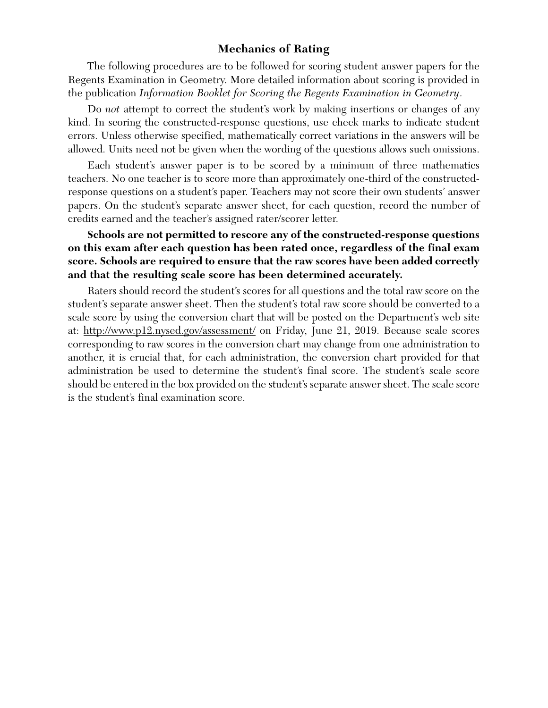# **Mechanics of Rating**

The following procedures are to be followed for scoring student answer papers for the Regents Examination in Geometry. More detailed information about scoring is provided in the publication *Information Booklet for Scoring the Regents Examination in Geometry*.

Do *not* attempt to correct the student's work by making insertions or changes of any kind. In scoring the constructed-response questions, use check marks to indicate student errors. Unless otherwise specified, mathematically correct variations in the answers will be allowed. Units need not be given when the wording of the questions allows such omissions.

Each student's answer paper is to be scored by a minimum of three mathematics teachers. No one teacher is to score more than approximately one-third of the constructedresponse questions on a student's paper. Teachers may not score their own students' answer papers. On the student's separate answer sheet, for each question, record the number of credits earned and the teacher's assigned rater/scorer letter.

# **Schools are not permitted to rescore any of the constructed-response questions on this exam after each question has been rated once, regardless of the final exam score. Schools are required to ensure that the raw scores have been added correctly and that the resulting scale score has been determined accurately.**

Raters should record the student's scores for all questions and the total raw score on the student's separate answer sheet. Then the student's total raw score should be converted to a scale score by using the conversion chart that will be posted on the Department's web site at: http://www.p12.nysed.gov/assessment/ on Friday, June 21, 2019. Because scale scores corresponding to raw scores in the conversion chart may change from one administration to another, it is crucial that, for each administration, the conversion chart provided for that administration be used to determine the student's final score. The student's scale score should be entered in the box provided on the student's separate answer sheet. The scale score is the student's final examination score.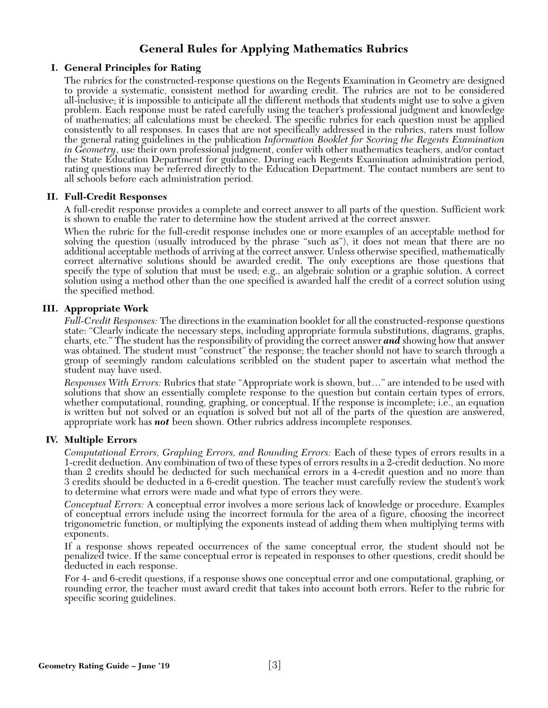# **General Rules for Applying Mathematics Rubrics**

#### **I. General Principles for Rating**

The rubrics for the constructed-response questions on the Regents Examination in Geometry are designed to provide a systematic, consistent method for awarding credit. The rubrics are not to be considered all-inclusive; it is impossible to anticipate all the different methods that students might use to solve a given problem. Each response must be rated carefully using the teacher's professional judgment and knowledge of mathematics; all calculations must be checked. The specific rubrics for each question must be applied consistently to all responses. In cases that are not specifically addressed in the rubrics, raters must follow the general rating guidelines in the publication *Information Booklet for Scoring the Regents Examination in Geometry*, use their own professional judgment, confer with other mathematics teachers, and/or contact the State Education Department for guidance. During each Regents Examination administration period, rating questions may be referred directly to the Education Department. The contact numbers are sent to all schools before each administration period.

#### **II. Full-Credit Responses**

A full-credit response provides a complete and correct answer to all parts of the question. Sufficient work is shown to enable the rater to determine how the student arrived at the correct answer.

When the rubric for the full-credit response includes one or more examples of an acceptable method for solving the question (usually introduced by the phrase "such as"), it does not mean that there are no additional acceptable methods of arriving at the correct answer. Unless otherwise specified, mathematically correct alternative solutions should be awarded credit. The only exceptions are those questions that specify the type of solution that must be used; e.g., an algebraic solution or a graphic solution. A correct solution using a method other than the one specified is awarded half the credit of a correct solution using the specified method.

#### **III. Appropriate Work**

*Full-Credit Responses:* The directions in the examination booklet for all the constructed-response questions state: "Clearly indicate the necessary steps, including appropriate formula substitutions, diagrams, graphs, charts, etc." The student has the responsibility of providing the correct answer *and* showing how that answer was obtained. The student must "construct" the response; the teacher should not have to search through a group of seemingly random calculations scribbled on the student paper to ascertain what method the student may have used.

*Responses With Errors:* Rubrics that state "Appropriate work is shown, but…" are intended to be used with solutions that show an essentially complete response to the question but contain certain types of errors, whether computational, rounding, graphing, or conceptual. If the response is incomplete; i.e., an equation is written but not solved or an equation is solved but not all of the parts of the question are answered, appropriate work has *not* been shown. Other rubrics address incomplete responses.

#### **IV. Multiple Errors**

*Computational Errors, Graphing Errors, and Rounding Errors:* Each of these types of errors results in a 1-credit deduction. Any combination of two of these types of errors results in a 2-credit deduction. No more than 2 credits should be deducted for such mechanical errors in a 4-credit question and no more than 3 credits should be deducted in a 6-credit question. The teacher must carefully review the student's work to determine what errors were made and what type of errors they were.

*Conceptual Errors:* A conceptual error involves a more serious lack of knowledge or procedure. Examples of conceptual errors include using the incorrect formula for the area of a figure, choosing the incorrect trigonometric function, or multiplying the exponents instead of adding them when multiplying terms with exponents.

If a response shows repeated occurrences of the same conceptual error, the student should not be penalized twice. If the same conceptual error is repeated in responses to other questions, credit should be deducted in each response.

For 4- and 6-credit questions, if a response shows one conceptual error and one computational, graphing, or rounding error, the teacher must award credit that takes into account both errors. Refer to the rubric for specific scoring guidelines.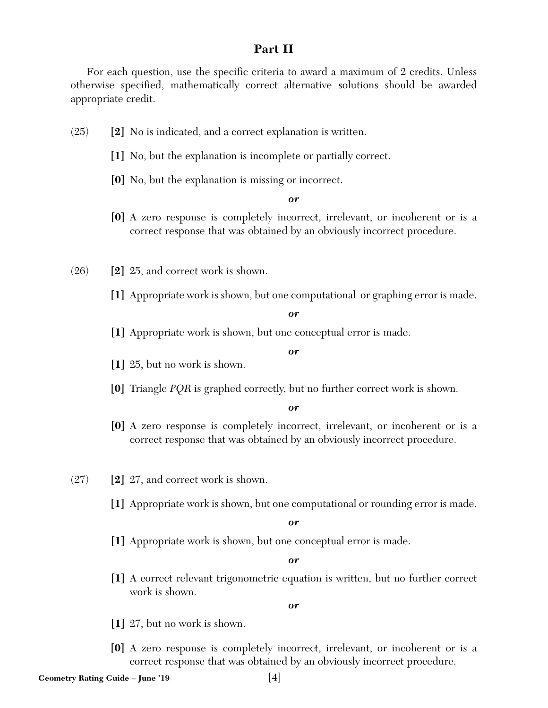# **Part II**

For each question, use the specific criteria to award a maximum of 2 credits. Unless otherwise specified, mathematically correct alternative solutions should be awarded appropriate credit.

- (25) **[2]** No is indicated, and a correct explanation is written.
	- **[1]** No, but the explanation is incomplete or partially correct.
	- **[0]** No, but the explanation is missing or incorrect.

#### *or*

- **[0]** A zero response is completely incorrect, irrelevant, or incoherent or is a correct response that was obtained by an obviously incorrect procedure.
- (26) **[2]** 25, and correct work is shown.
	- **[1]** Appropriate work is shown, but one computational or graphing error is made.

#### *or*

**[1]** Appropriate work is shown, but one conceptual error is made.

#### *or*

- **[1]** 25, but no work is shown.
- **[0]** Triangle *PQR* is graphed correctly, but no further correct work is shown.

#### *or*

- **[0]** A zero response is completely incorrect, irrelevant, or incoherent or is a correct response that was obtained by an obviously incorrect procedure.
- (27) **[2]** 27, and correct work is shown.
	- **[1]** Appropriate work is shown, but one computational or rounding error is made.

#### *or*

**[1]** Appropriate work is shown, but one conceptual error is made.

#### *or*

**[1]** A correct relevant trigonometric equation is written, but no further correct work is shown.

- **[1]** 27, but no work is shown.
- **[0]** A zero response is completely incorrect, irrelevant, or incoherent or is a correct response that was obtained by an obviously incorrect procedure.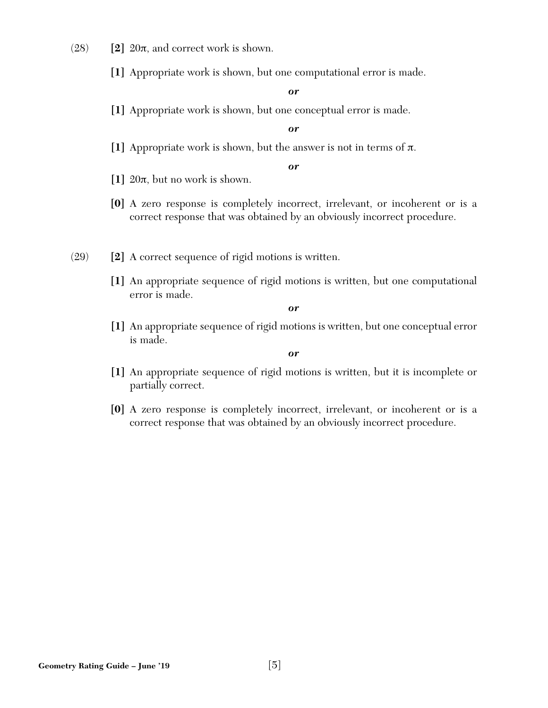- $(28)$  **[2]**  $20\pi$ , and correct work is shown.
	- **[1]** Appropriate work is shown, but one computational error is made.

**[1]** Appropriate work is shown, but one conceptual error is made.

#### *or*

**[1]** Appropriate work is shown, but the answer is not in terms of π.

#### *or*

- **[1]** 20π, but no work is shown.
- **[0]** A zero response is completely incorrect, irrelevant, or incoherent or is a correct response that was obtained by an obviously incorrect procedure.
- (29) **[2]** A correct sequence of rigid motions is written.
	- **[1]** An appropriate sequence of rigid motions is written, but one computational error is made.

*or* 

**[1]** An appropriate sequence of rigid motions is written, but one conceptual error is made.

- **[1]** An appropriate sequence of rigid motions is written, but it is incomplete or partially correct.
- **[0]** A zero response is completely incorrect, irrelevant, or incoherent or is a correct response that was obtained by an obviously incorrect procedure.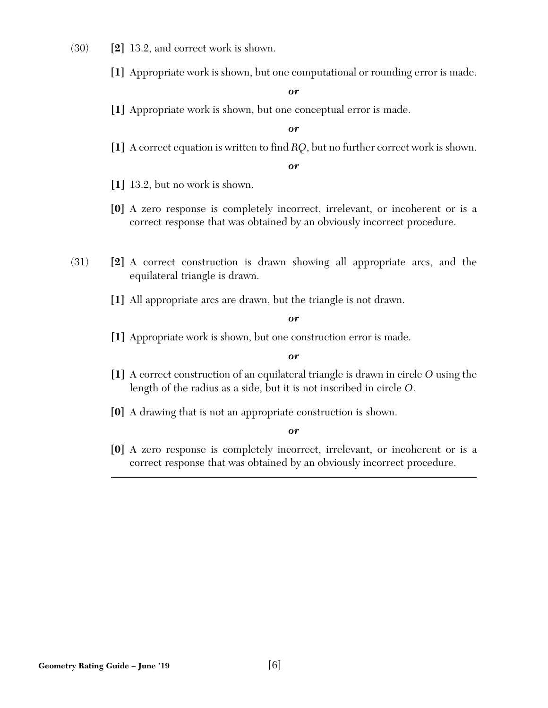- (30) **[2]** 13.2, and correct work is shown.
	- **[1]** Appropriate work is shown, but one computational or rounding error is made.

**[1]** Appropriate work is shown, but one conceptual error is made.

*or* 

**[1]** A correct equation is written to find *RQ*, but no further correct work is shown.

*or* 

- **[1]** 13.2, but no work is shown.
- **[0]** A zero response is completely incorrect, irrelevant, or incoherent or is a correct response that was obtained by an obviously incorrect procedure.
- (31) **[2]** A correct construction is drawn showing all appropriate arcs, and the equilateral triangle is drawn.
	- **[1]** All appropriate arcs are drawn, but the triangle is not drawn.

*or* 

**[1]** Appropriate work is shown, but one construction error is made.

*or* 

- **[1]** A correct construction of an equilateral triangle is drawn in circle *O* using the length of the radius as a side, but it is not inscribed in circle *O*.
- **[0]** A drawing that is not an appropriate construction is shown.

*or* 

**[0]** A zero response is completely incorrect, irrelevant, or incoherent or is a correct response that was obtained by an obviously incorrect procedure.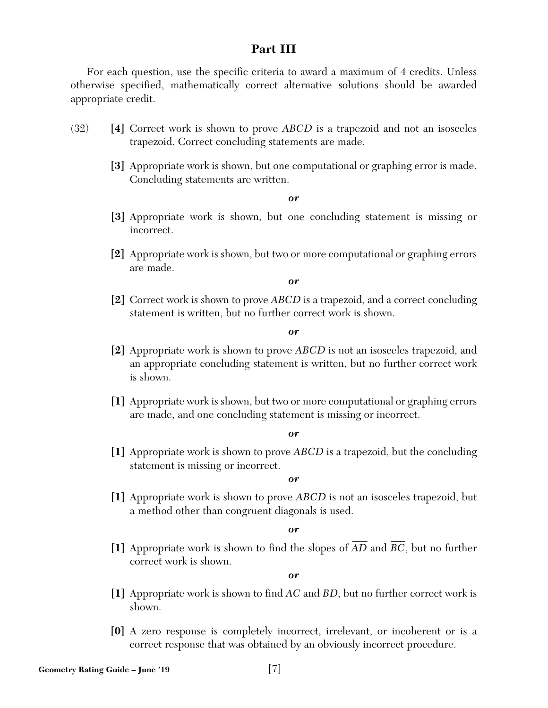# **Part III**

For each question, use the specific criteria to award a maximum of 4 credits. Unless otherwise specified, mathematically correct alternative solutions should be awarded appropriate credit.

- (32) **[4]** Correct work is shown to prove *ABCD* is a trapezoid and not an isosceles trapezoid. Correct concluding statements are made.
	- **[3]** Appropriate work is shown, but one computational or graphing error is made. Concluding statements are written.

#### *or*

- **[3]** Appropriate work is shown, but one concluding statement is missing or incorrect.
- **[2]** Appropriate work is shown, but two or more computational or graphing errors are made.

*or* 

**[2]** Correct work is shown to prove *ABCD* is a trapezoid, and a correct concluding statement is written, but no further correct work is shown.

#### *or*

- **[2]** Appropriate work is shown to prove *ABCD* is not an isosceles trapezoid, and an appropriate concluding statement is written, but no further correct work is shown.
- **[1]** Appropriate work is shown, but two or more computational or graphing errors are made, and one concluding statement is missing or incorrect.

#### *or*

**[1]** Appropriate work is shown to prove *ABCD* is a trapezoid, but the concluding statement is missing or incorrect.

*or* 

**[1]** Appropriate work is shown to prove *ABCD* is not an isosceles trapezoid, but a method other than congruent diagonals is used.

*or* 

[1] Appropriate work is shown to find the slopes of  $\overline{AD}$  and  $\overline{BC}$ , but no further correct work is shown.

- **[1]** Appropriate work is shown to find *AC* and *BD*, but no further correct work is shown.
- **[0]** A zero response is completely incorrect, irrelevant, or incoherent or is a correct response that was obtained by an obviously incorrect procedure.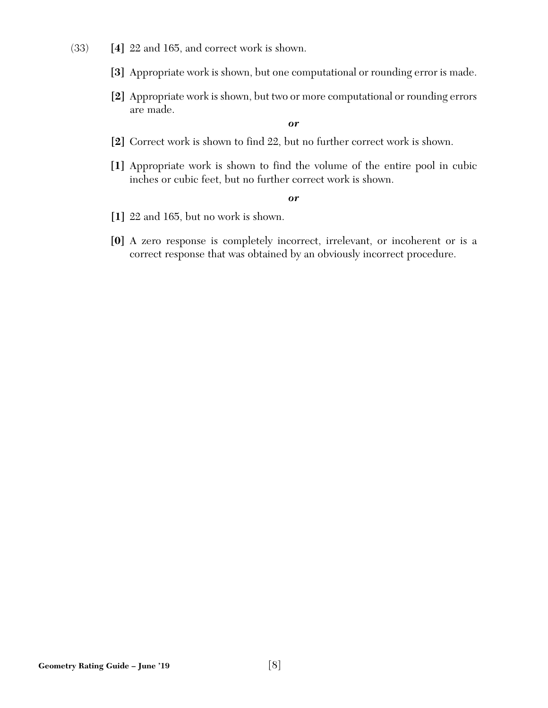- (33) **[4]** 22 and 165, and correct work is shown.
	- **[3]** Appropriate work is shown, but one computational or rounding error is made.
	- **[2]** Appropriate work is shown, but two or more computational or rounding errors are made.

- **[2]** Correct work is shown to find 22, but no further correct work is shown.
- **[1]** Appropriate work is shown to find the volume of the entire pool in cubic inches or cubic feet, but no further correct work is shown.

- **[1]** 22 and 165, but no work is shown.
- **[0]** A zero response is completely incorrect, irrelevant, or incoherent or is a correct response that was obtained by an obviously incorrect procedure.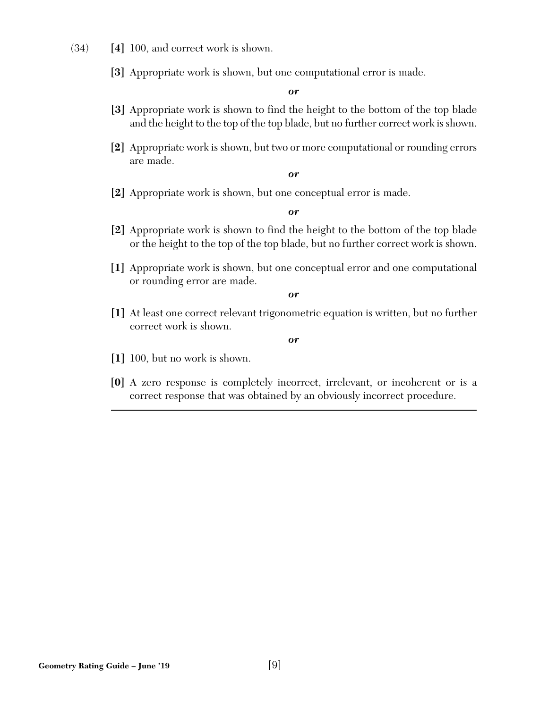- (34) **[4]** 100, and correct work is shown.
	- **[3]** Appropriate work is shown, but one computational error is made.

- **[3]** Appropriate work is shown to find the height to the bottom of the top blade and the height to the top of the top blade, but no further correct work is shown.
- **[2]** Appropriate work is shown, but two or more computational or rounding errors are made.

*or* 

**[2]** Appropriate work is shown, but one conceptual error is made.

*or* 

- **[2]** Appropriate work is shown to find the height to the bottom of the top blade or the height to the top of the top blade, but no further correct work is shown.
- **[1]** Appropriate work is shown, but one conceptual error and one computational or rounding error are made.

*or* 

**[1]** At least one correct relevant trigonometric equation is written, but no further correct work is shown.

- **[1]** 100, but no work is shown.
- **[0]** A zero response is completely incorrect, irrelevant, or incoherent or is a correct response that was obtained by an obviously incorrect procedure.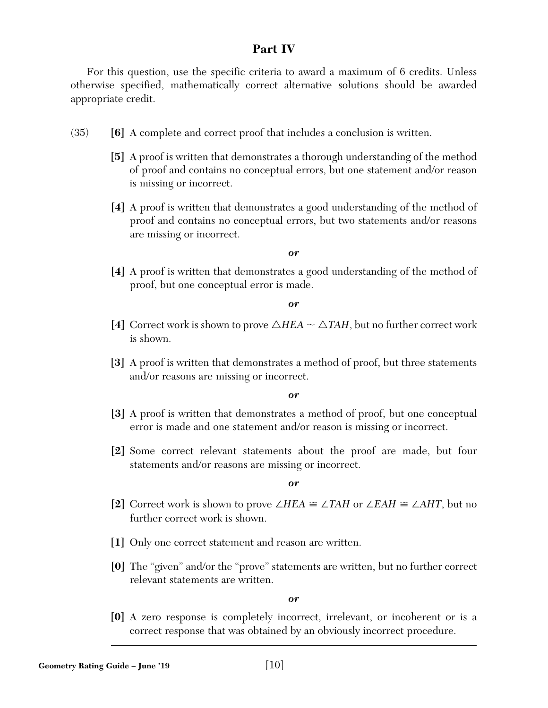# **Part IV**

For this question, use the specific criteria to award a maximum of 6 credits. Unless otherwise specified, mathematically correct alternative solutions should be awarded appropriate credit.

- (35) **[6]** A complete and correct proof that includes a conclusion is written.
	- **[5]** A proof is written that demonstrates a thorough understanding of the method of proof and contains no conceptual errors, but one statement and/or reason is missing or incorrect.
	- **[4]** A proof is written that demonstrates a good understanding of the method of proof and contains no conceptual errors, but two statements and/or reasons are missing or incorrect.

#### *or*

**[4]** A proof is written that demonstrates a good understanding of the method of proof, but one conceptual error is made.

*or* 

- [4] Correct work is shown to prove  $\triangle HEA \sim \triangle TAH$ , but no further correct work is shown.
- **[3]** A proof is written that demonstrates a method of proof, but three statements and/or reasons are missing or incorrect.

*or* 

- **[3]** A proof is written that demonstrates a method of proof, but one conceptual error is made and one statement and/or reason is missing or incorrect.
- **[2]** Some correct relevant statements about the proof are made, but four statements and/or reasons are missing or incorrect.

*or* 

- **[2]** Correct work is shown to prove ∠*HEA* ∠*TAH* or ∠*EAH* ∠*AHT*, but no further correct work is shown.
- **[1]** Only one correct statement and reason are written.
- **[0]** The "given" and/or the "prove" statements are written, but no further correct relevant statements are written.

*or* 

**[0]** A zero response is completely incorrect, irrelevant, or incoherent or is a correct response that was obtained by an obviously incorrect procedure.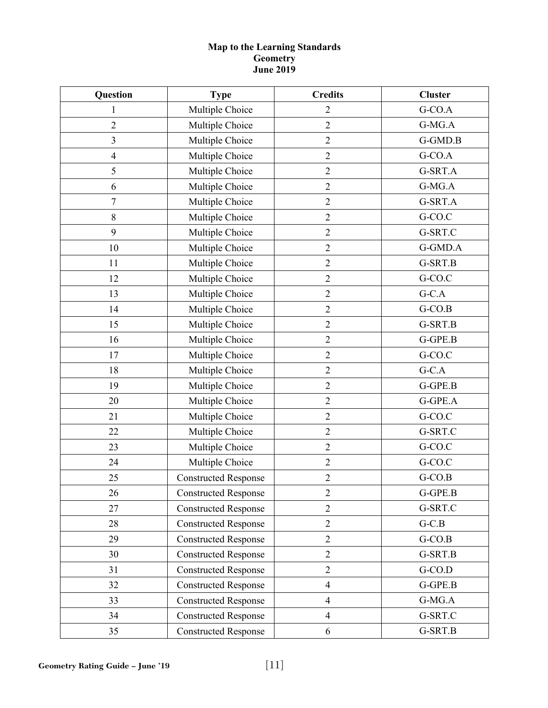#### **Map to the Learning Standards Geometry June 2019**

| Question<br><b>Type</b> |                             | <b>Credits</b> | <b>Cluster</b> |  |
|-------------------------|-----------------------------|----------------|----------------|--|
| 1                       | Multiple Choice             | $\overline{2}$ | G-CO.A         |  |
| $\overline{2}$          | Multiple Choice             | $\overline{2}$ | G-MG.A         |  |
| $\overline{3}$          | Multiple Choice             | $\sqrt{2}$     | G-GMD.B        |  |
| $\overline{4}$          | Multiple Choice             | $\sqrt{2}$     | G-CO.A         |  |
| 5                       | Multiple Choice             | $\overline{2}$ | G-SRT.A        |  |
| 6                       | Multiple Choice             | $\sqrt{2}$     | G-MG.A         |  |
| $\boldsymbol{7}$        | Multiple Choice             | $\mathfrak{2}$ | G-SRT.A        |  |
| 8                       | Multiple Choice             | $\sqrt{2}$     | G-CO.C         |  |
| 9                       | Multiple Choice             | $\sqrt{2}$     | G-SRT.C        |  |
| 10                      | Multiple Choice             | $\overline{2}$ | G-GMD.A        |  |
| 11                      | Multiple Choice             | $\overline{2}$ | G-SRT.B        |  |
| 12                      | Multiple Choice             | $\sqrt{2}$     | G-CO.C         |  |
| 13                      | Multiple Choice             | $\overline{2}$ | $G-C.A$        |  |
| 14                      | Multiple Choice             | $\overline{2}$ | $G-CO.B$       |  |
| 15                      | Multiple Choice             | $\overline{2}$ | G-SRT.B        |  |
| 16                      | Multiple Choice             | $\sqrt{2}$     | G-GPE.B        |  |
| 17                      | Multiple Choice             | $\sqrt{2}$     | G-CO.C         |  |
| 18                      | Multiple Choice             | $\sqrt{2}$     | $G-C.A$        |  |
| 19                      | Multiple Choice             | $\sqrt{2}$     | G-GPE.B        |  |
| 20                      | Multiple Choice             | $\overline{2}$ | G-GPE.A        |  |
| 21                      | Multiple Choice             | $\overline{2}$ | G-CO.C         |  |
| 22                      | Multiple Choice             | $\overline{2}$ | G-SRT.C        |  |
| 23                      | Multiple Choice             | $\overline{2}$ | G-CO.C         |  |
| 24                      | Multiple Choice             | $\sqrt{2}$     | G-CO.C         |  |
| 25                      | <b>Constructed Response</b> | $\sqrt{2}$     | $G-CO.B$       |  |
| 26                      | <b>Constructed Response</b> | $\overline{2}$ | $G$ -GPE.B     |  |
| 27                      | <b>Constructed Response</b> | $\overline{2}$ | G-SRT.C        |  |
| 28                      | <b>Constructed Response</b> | $\overline{2}$ | $G-C.B$        |  |
| 29                      | <b>Constructed Response</b> | $\overline{2}$ | $G-CO.B$       |  |
| 30                      | <b>Constructed Response</b> | $\overline{2}$ | G-SRT.B        |  |
| 31                      | <b>Constructed Response</b> | $\overline{2}$ | $G-CO.D$       |  |
| 32                      | <b>Constructed Response</b> | $\overline{4}$ | G-GPE.B        |  |
| 33                      | <b>Constructed Response</b> | $\overline{4}$ | G-MG.A         |  |
| 34                      | <b>Constructed Response</b> | $\overline{4}$ | G-SRT.C        |  |
| 35                      | <b>Constructed Response</b> | 6              | G-SRT.B        |  |